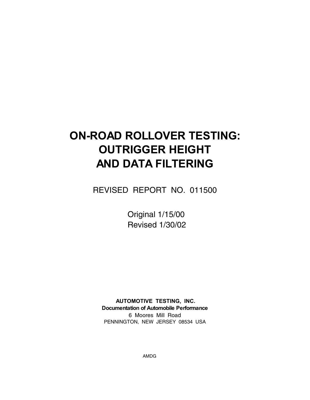# **ON-ROAD ROLLOVER TESTING: OUTRIGGER HEIGHT AND DATA FILTERING**

REVISED REPORT NO. 011500

Original 1/15/00 Revised 1/30/02

**AUTOMOTIVE TESTING, INC. Documentation of Automobile Performance** 6 Moores Mill Road PENNINGTON, NEW JERSEY 08534 USA

AMDG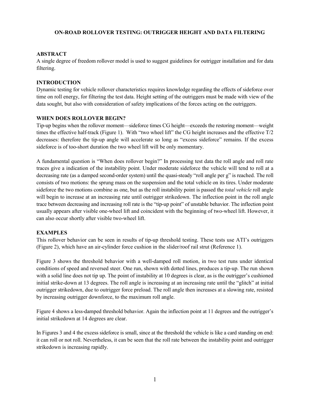## **ON-ROAD ROLLOVER TESTING: OUTRIGGER HEIGHT AND DATA FILTERING**

## **ABSTRACT**

A single degree of freedom rollover model is used to suggest guidelines for outrigger installation and for data filtering.

# **INTRODUCTION**

Dynamic testing for vehicle rollover characteristics requires knowledge regarding the effects of sideforce over time on roll energy, for filtering the test data. Height setting of the outriggers must be made with view of the data sought, but also with consideration of safety implications of the forces acting on the outriggers.

# **WHEN DOES ROLLOVER BEGIN?**

Tip-up begins when the rollover moment—sideforce times CG height—exceeds the restoring moment—weight times the effective half-track (Figure 1). With "two wheel lift" the CG height increases and the effective T/2 decreases: therefore the tip-up angle will accelerate so long as "excess sideforce" remains. If the excess sideforce is of too-short duration the two wheel lift will be only momentary.

A fundamental question is "When does rollover begin?" In processing test data the roll angle and roll rate traces give a indication of the instability point. Under moderate sideforce the vehicle will tend to roll at a decreasing rate (as a damped second-order system) until the quasi-steady "roll angle per g" is reached. The roll consists of two motions: the sprung mass on the suspension and the total vehicle on its tires. Under moderate sideforce the two motions combine as one, but as the roll instability point is passed the *total vehicle* roll angle will begin to increase at an increasing rate until outrigger strikedown. The inflection point in the roll angle trace between decreasing and increasing roll rate is the "tip-up point" of unstable behavior. The inflection point usually appears after visible one-wheel lift and coincident with the beginning of two-wheel lift. However, it can also occur shortly after visible two-wheel lift.

# **EXAMPLES**

This rollover behavior can be seen in results of tip-up threshold testing. These tests use ATI's outriggers (Figure 2), which have an air-cylinder force cushion in the slider/roof rail strut (Reference 1).

Figure 3 shows the threshold behavior with a well-damped roll motion, in two test runs under identical conditions of speed and reversed steer. One run, shown with dotted lines, produces a tip-up. The run shown with a solid line does not tip up. The point of instability at 10 degrees is clear, as is the outrigger's cushioned initial strike-down at 13 degrees. The roll angle is increasing at an increasing rate until the "glitch" at initial outrigger strikedown, due to outrigger force preload. The roll angle then increases at a slowing rate, resisted by increasing outrigger downforce, to the maximum roll angle.

Figure 4 shows a less-damped threshold behavior. Again the inflection point at 11 degrees and the outrigger's initial strikedown at 14 degrees are clear.

In Figures 3 and 4 the excess sideforce is small, since at the threshold the vehicle is like a card standing on end: it can roll or not roll. Nevertheless, it can be seen that the roll rate between the instability point and outrigger strikedown is increasing rapidly.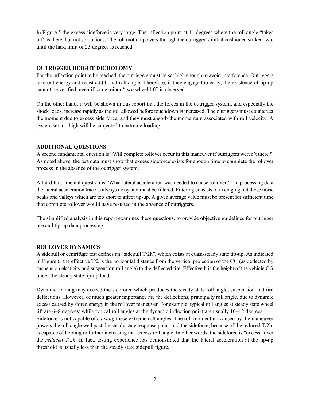In Figure 5 the excess sideforce is very large. The inflection point at 11 degrees where the roll angle "takes off" is there, but not so obvious. The roll motion powers through the outrigger's initial cushioned strikedown, until the hard limit of 23 degrees is reached.

# **OUTRIGGER HEIGHT DICHOTOMY**

For the inflection point to be reached, the outriggers must be set high enough to avoid interference. Outriggers take out energy and resist additional roll angle. Therefore, if they engage too early, the existence of tip-up cannot be verified, even if some minor "two wheel lift" is observed.

On the other hand, it will be shown in this report that the forces in the outrigger system, and especially the shock loads, increase rapidly as the roll allowed before touchdown is increased. The outriggers must counteract the moment due to excess side force, and they must absorb the momentum associated with roll velocity. A system set too high will be subjected to extreme loading.

## **ADDITIONAL QUESTIONS**

A second fundamental question is "Will complete rollover occur in this maneuver if outriggers weren't there?" As noted above, the test data must show that excess sideforce exists for enough time to complete the rollover process in the absence of the outrigger system.

A third fundamental question is "What lateral acceleration was needed to cause rollover?" In processing data the lateral acceleration trace is always noisy and must be filtered. Filtering consists of averaging out those noise peaks and valleys which are too short to affect tip-up. A given average value must be present for sufficient time that complete rollover would have resulted in the absence of outriggers.

The simplified analysis in this report examines these questions, to provide objective guidelines for outrigger use and tip-up data processing.

# **ROLLOVER DYNAMICS**

A sidepull or centrifuge test defines an "sidepull T/2h", which exists at quasi-steady state tip-up. As indicated in Figure 6, the effective T/2 is the horizontal distance from the vertical projection of the CG (as deflected by suspension elasticity and suspension roll angle) to the deflected tire. Effective h is the height of the vehicle CG under the steady state tip-up load.

Dynamic loading may exceed the sideforce which produces the steady state roll angle, suspension and tire deflections. However, of much greater importance are the deflections, principally roll angle, due to dynamic excess caused by stored energy in the rollover maneuver. For example, typical roll angles at steady state wheel lift are 6–8 degrees; while typical roll angles at the dynamic inflection point are usually 10–12 degrees. Sideforce is not capable of *causing* these extreme roll angles. The roll momentum caused by the maneuver powers the roll angle well past the steady state response point; and the sideforce, because of the reduced T/2h, is capable of holding or further increasing that excess roll angle. In other words, the sideforce is "excess" over the *reduced T/2h*. In fact, testing experience has demonstrated that the lateral acceleration at the tip-up threshold is usually less than the steady state sidepull figure.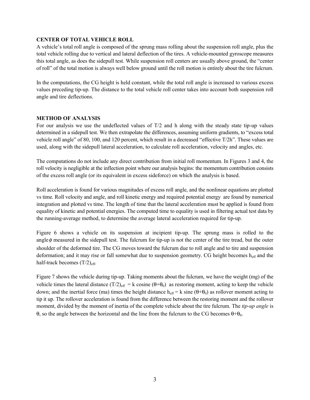## **CENTER OF TOTAL VEHICLE ROLL**

A vehicle's total roll angle is composed of the sprung mass rolling about the suspension roll angle, plus the total vehicle rolling due to vertical and lateral deflection of the tires. A vehicle-mounted gyroscope measures this total angle, as does the sidepull test. While suspension roll centers are usually above ground, the "center of roll" of the total motion is always well below ground until the roll motion is entirely about the tire fulcrum.

In the computations, the CG height is held constant, while the total roll angle is increased to various excess values preceding tip-up. The distance to the total vehicle roll center takes into account both suspension roll angle and tire deflections.

## **METHOD OF ANALYSIS**

For our analysis we use the undeflected values of T/2 and h along with the steady state tip-up values determined in a sidepull test. We then extrapolate the differences, assuming uniform gradients, to "excess total vehicle roll angle" of 80, 100, and 120 percent, which result in a decreased "effective T/2h". These values are used, along with the sidepull lateral acceleration, to calculate roll acceleration, velocity and angles, etc.

The computations do not include any direct contribution from initial roll momentum. In Figures 3 and 4, the roll velocity is negligible at the inflection point where our analysis begins: the momentum contribution consists of the excess roll angle (or its equivalent in excess sideforce) on which the analysis is based.

Roll acceleration is found for various magnitudes of excess roll angle, and the nonlinear equations are plotted vs time. Roll velocity and angle, and roll kinetic energy and required potential energy are found by numerical integration and plotted vs time. The length of time that the lateral acceleration must be applied is found from equality of kinetic and potential energies. The computed time to equality is used in filtering actual test data by the running-average method, to determine the average lateral acceleration required for tip-up.

Figure 6 shows a vehicle on its suspension at incipient tip-up. The sprung mass is rolled to the angle  $\phi$  measured in the sidepull test. The fulcrum for tip-up is not the center of the tire tread, but the outer shoulder of the deformed tire. The CG moves toward the fulcrum due to roll angle and to tire and suspension deformation; and it may rise or fall somewhat due to suspension geometry. CG height becomes  $h_{\text{eff}}$  and the half-track becomes  $(T/2)_{\text{eff}}$ .

Figure 7 shows the vehicle during tip-up. Taking moments about the fulcrum, we have the weight (mg) of the vehicle times the lateral distance  $(T/2)_{\text{eff}} = k \cos \text{ine} (\theta + \theta_0)$  as restoring moment, acting to keep the vehicle down; and the inertial force (ma) times the height distance  $h_{eff} = k \sin(\theta + \theta_0)$  as rollover moment acting to tip it up. The rollover acceleration is found from the difference between the restoring moment and the rollover moment, divided by the moment of inertia of the complete vehicle about the tire fulcrum. The *tip-up angle* is θ, so the angle between the horizontal and the line from the fulcrum to the CG becomes  $θ+θ_0$ .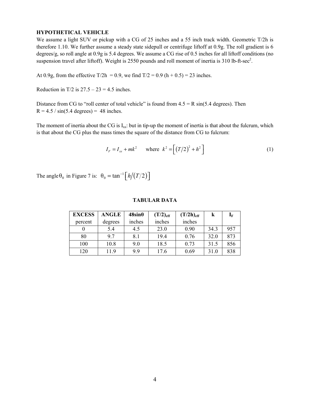## **HYPOTHETICAL VEHICLE**

We assume a light SUV or pickup with a CG of 25 inches and a 55 inch track width. Geometric T/2h is therefore 1.10. We further assume a steady state sidepull or centrifuge liftoff at 0.9g. The roll gradient is 6 degrees/g, so roll angle at 0.9g is 5.4 degrees. We assume a CG rise of 0.5 inches for all liftoff conditions (no suspension travel after liftoff). Weight is 2550 pounds and roll moment of inertia is 310 lb-ft-sec<sup>2</sup>.

At 0.9g, from the effective T/2h = 0.9, we find  $T/2 = 0.9$  (h + 0.5) = 23 inches.

Reduction in T/2 is  $27.5 - 23 = 4.5$  inches.

Distance from CG to "roll center of total vehicle" is found from  $4.5 = R \sin(5.4 \text{ degrees})$ . Then  $R = 4.5 / sin(5.4 \text{ degrees}) = 48 \text{ inches.}$ 

The moment of inertia about the CG is  $I_{xx}$ : but in tip-up the moment of inertia is that about the fulcrum, which is that about the CG plus the mass times the square of the distance from CG to fulcrum:

$$
I_F = I_{xx} + mk^2 \quad \text{where } k^2 = \left[ (T/2)^2 + h^2 \right] \tag{1}
$$

The angle  $\theta_0$  in Figure 7 is:  $\theta_0 = \tan^{-1} \left[ h/(T/2) \right]$ 

| <b>EXCESS</b> | <b>ANGLE</b> | $48\sin\theta$ | $(T/2)_{\text{eff}}$ | $(T/2h)_{eff}$ |      | $\mathbf{I}_\mathrm{F}$ |
|---------------|--------------|----------------|----------------------|----------------|------|-------------------------|
| percent       | degrees      | inches         | inches               | inches         |      |                         |
|               | 5.4          | 4.5            | 23.0                 | 0.90           | 34.3 | 957                     |
| 80            | 9.7          | 8.1            | 19.4                 | 0.76           | 32.0 | 873                     |
| 100           | 10.8         | 9.0            | 18.5                 | 0.73           | 31.5 | 856                     |
| 120           | 11.9         | 9.9            | 17.6                 | 0.69           | 31.0 | 838                     |

#### **TABULAR DATA**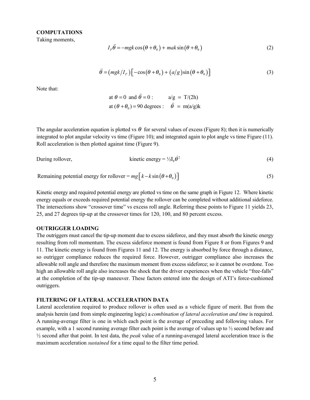#### **COMPUTATIONS**

Taking moments,

$$
I_F \ddot{\theta} = -mgk \cos(\theta + \theta_0) + mak \sin(\theta + \theta_0)
$$
 (2)

$$
\ddot{\theta} = (m g k / I_F) \left[ -\cos(\theta + \theta_0) + (a/g)\sin(\theta + \theta_0) \right]
$$
 (3)

Note that:

at 
$$
\theta = 0
$$
 and  $\ddot{\theta} = 0$ :  
at  $(\theta + \theta_0) = 90$  degrees :  $\ddot{\theta} = m(a/g)k$ 

The angular acceleration equation is plotted vs  $\theta$  for several values of excess (Figure 8); then it is numerically integrated to plot angular velocity vs time (Figure 10); and integrated again to plot angle vs time Figure (11). Roll acceleration is then plotted against time (Figure 9).

During rollover,

kinetic energy = 
$$
\frac{1}{2}I_F \dot{\theta}^2
$$
 (4)

Remaining potential energy for rollover =  $mg[k - k \sin(\theta + \theta_0)]$  (5)

Kinetic energy and required potential energy are plotted vs time on the same graph in Figure 12. Where kinetic energy equals or exceeds required potential energy the rollover can be completed without additional sideforce. The intersections show "crossover time" vs excess roll angle. Referring these points to Figure 11 yields 23, 25, and 27 degrees tip-up at the crossover times for 120, 100, and 80 percent excess.

## **OUTRIGGER LOADING**

The outriggers must cancel the tip-up moment due to excess sideforce, and they must absorb the kinetic energy resulting from roll momentum. The excess sideforce moment is found from Figure 8 or from Figures 9 and 11. The kinetic energy is found from Figures 11 and 12. The energy is absorbed by force through a distance, so outrigger compliance reduces the required force. However, outrigger compliance also increases the allowable roll angle and therefore the maximum moment from excess sideforce; so it cannot be overdone. Too high an allowable roll angle also increases the shock that the driver experiences when the vehicle "free-falls" at the completion of the tip-up maneuver. These factors entered into the design of ATI's force-cushioned outriggers.

## **FILTERING OF LATERAL ACCELERATION DATA**

Lateral acceleration required to produce rollover is often used as a vehicle figure of merit. But from the analysis herein (and from simple engineering logic) a *combination of lateral acceleration and time* is required. A running-average filter is one in which each point is the average of preceding and following values. For example, with a 1 second running average filter each point is the average of values up to ½ second before and ½ second after that point. In test data, the *peak* value of a running-averaged lateral acceleration trace is the maximum acceleration *sustained* for a time equal to the filter time period.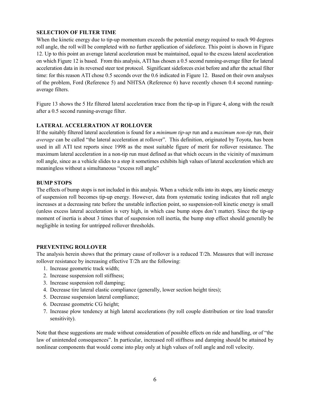## **SELECTION OF FILTER TIME**

When the kinetic energy due to tip-up momentum exceeds the potential energy required to reach 90 degrees roll angle, the roll will be completed with no further application of sideforce. This point is shown in Figure 12. Up to this point an average lateral acceleration must be maintained, equal to the excess lateral acceleration on which Figure 12 is based. From this analysis, ATI has chosen a 0.5 second running-average filter for lateral acceleration data in its reversed steer test protocol. Significant sideforces exist before and after the actual filter time: for this reason ATI chose 0.5 seconds over the 0.6 indicated in Figure 12. Based on their own analyses of the problem, Ford (Reference 5) and NHTSA (Reference 6) have recently chosen 0.4 second runningaverage filters.

Figure 13 shows the 5 Hz filtered lateral acceleration trace from the tip-up in Figure 4, along with the result after a 0.5 second running-average filter.

# **LATERAL ACCELERATION AT ROLLOVER**

If the suitably filtered lateral acceleration is found for a *minimum tip-up* run and a *maximum non-tip* run, their *average* can be called "the lateral acceleration at rollover". This definition, originated by Toyota, has been used in all ATI test reports since 1998 as the most suitable figure of merit for rollover resistance. The maximum lateral acceleration in a non-tip run must defined as that which occurs in the vicinity of maximum roll angle, since as a vehicle slides to a stop it sometimes exhibits high values of lateral acceleration which are meaningless without a simultaneous "excess roll angle"

## **BUMP STOPS**

The effects of bump stops is not included in this analysis. When a vehicle rolls into its stops, any kinetic energy of suspension roll becomes tip-up energy. However, data from systematic testing indicates that roll angle increases at a decreasing rate before the unstable inflection point, so suspension-roll kinetic energy is small (unless excess lateral acceleration is very high, in which case bump stops don't matter). Since the tip-up moment of inertia is about 3 times that of suspension roll inertia, the bump stop effect should generally be negligible in testing for untripped rollover thresholds.

## **PREVENTING ROLLOVER**

The analysis herein shows that the primary cause of rollover is a reduced T/2h. Measures that will increase rollover resistance by increasing effective T/2h are the following:

- 1. Increase geometric track width;
- 2. Increase suspension roll stiffness;
- 3. Increase suspension roll damping;
- 4. Decrease tire lateral elastic compliance (generally, lower section height tires);
- 5. Decrease suspension lateral compliance;
- 6. Decrease geometric CG height;
- 7. Increase plow tendency at high lateral accelerations (by roll couple distribution or tire load transfer sensitivity).

Note that these suggestions are made without consideration of possible effects on ride and handling, or of "the law of unintended consequences". In particular, increased roll stiffness and damping should be attained by nonlinear components that would come into play only at high values of roll angle and roll velocity.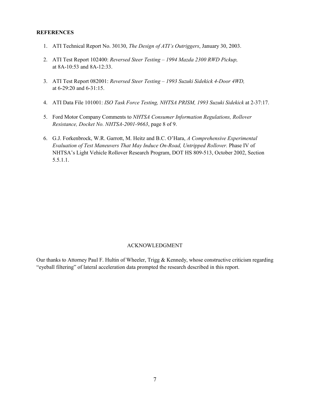### **REFERENCES**

- 1. ATI Technical Report No. 30130, *The Design of ATI's Outriggers*, January 30, 2003.
- 2. ATI Test Report 102400: *Reversed Steer Testing 1994 Mazda 2300 RWD Pickup,* at 8A-10:53 and 8A-12:33.
- 3. ATI Test Report 082001: *Reversed Steer Testing 1993 Suzuki Sidekick 4-Door 4WD,* at 6-29:20 and 6-31:15.
- 4. ATI Data File 101001: *ISO Task Force Testing, NHTSA PRISM, 1993 Suzuki Sidekick* at 2-37:17.
- 5. Ford Motor Company Comments to *NHTSA Consumer Information Regulations, Rollover Resistance, Docket No. NHTSA-2001-9663*, page 8 of 9.
- 6. G.J. Forkenbrock, W.R. Garrott, M. Heitz and B.C. O'Hara, *A Comprehensive Experimental Evaluation of Test Maneuvers That May Induce On-Road, Untripped Rollover.* Phase IV of NHTSA's Light Vehicle Rollover Research Program, DOT HS 809-513, October 2002, Section 5.5.1.1.

## ACKNOWLEDGMENT

Our thanks to Attorney Paul F. Hultin of Wheeler, Trigg & Kennedy, whose constructive criticism regarding "eyeball filtering" of lateral acceleration data prompted the research described in this report.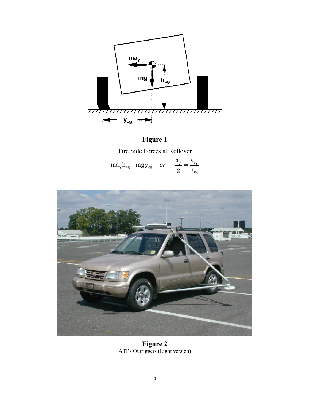

**Figure 1** Tire Side Forces at Rollover

| $ma_y h_{cg} = mgy_{cg}$ or |  | $\frac{a_y}{a_y}$ – $y_{cg}$ |
|-----------------------------|--|------------------------------|
|                             |  |                              |



**Figure 2** ATI's Outriggers (Light version**)**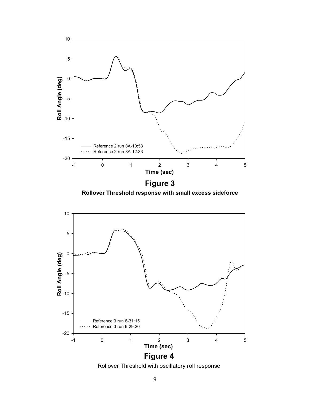

**Rollover Threshold response with small excess sideforce**



Rollover Threshold with oscillatory roll response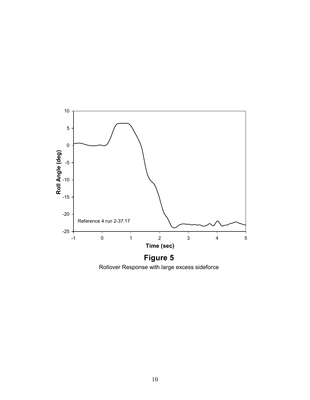

Rollover Response with large excess sideforce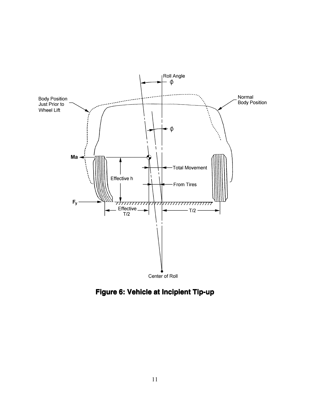

**Figure 6: Vehicle at Incipient Tip-up**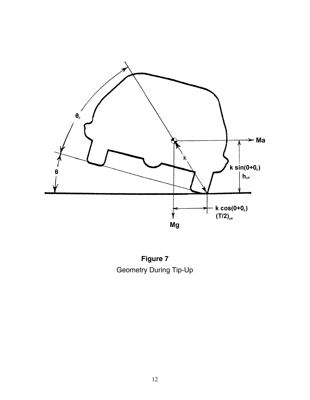

**Figure 7** Geometry During Tip-Up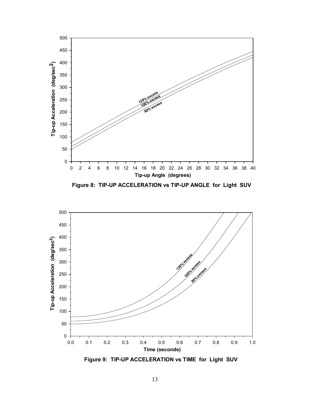

**Figure 8: TIP-UP ACCELERATION vs TIP-UP ANGLE for Light SUV**



**Figure 9: TIP-UP ACCELERATION vs TIME for Light SUV**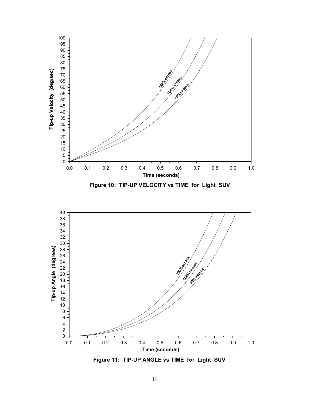

**Figure 11: TIP-UP ANGLE vs TIME for Light SUV**